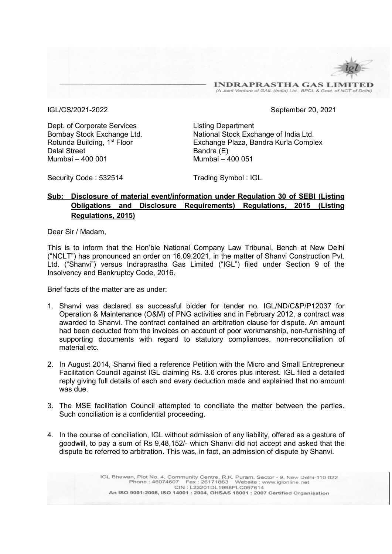**INDRAPRASTHA GAS LIMIT** (A Joint Venture of GAIL (India) Ltd., BPCL & Govt. of NCT of Delhi)

IGL/CS/2021-2022 September 20, 2021

Dept. of Corporate Services Listing Department Dalal Street Bandra (E) Mumbai – 400 001 Mumbai – 400 051

Bombay Stock Exchange Ltd. National Stock Exchange of India Ltd. Rotunda Building, 1<sup>st</sup> Floor **Exchange Plaza, Bandra Kurla Complex** 

Security Code: 532514 Trading Symbol: IGL

## Sub: Disclosure of material event/information under Regulation 30 of SEBI (Listing Obligations and Disclosure Requirements) Regulations, 2015 (Listing Regulations, 2015)

Dear Sir / Madam,

This is to inform that the Hon'ble National Company Law Tribunal, Bench at New Delhi ("NCLT") has pronounced an order on 16.09.2021, in the matter of Shanvi Construction Pvt. Ltd. ("Shanvi") versus Indraprastha Gas Limited ("IGL") filed under Section 9 of the Insolvency and Bankruptcy Code, 2016.

Brief facts of the matter are as under:

- 1. Shanvi was declared as successful bidder for tender no. IGL/ND/C&P/P12037 for Operation & Maintenance (O&M) of PNG activities and in February 2012, a contract was awarded to Shanvi. The contract contained an arbitration clause for dispute. An amount had been deducted from the invoices on account of poor workmanship, non-furnishing of supporting documents with regard to statutory compliances, non-reconciliation of material etc.
- 2. In August 2014, Shanvi filed a reference Petition with the Micro and Small Entrepreneur Facilitation Council against IGL claiming Rs. 3.6 crores plus interest. IGL filed a detailed reply giving full details of each and every deduction made and explained that no amount was due.
- 3. The MSE facilitation Council attempted to conciliate the matter between the parties. Such conciliation is a confidential proceeding.
- 4. In the course of conciliation, IGL without admission of any liability, offered as a gesture of goodwill, to pay a sum of Rs 9,48,152/- which Shanvi did not accept and asked that the dispute be referred to arbitration. This was, in fact, an admission of dispute by Shanvi.

IGL Bhawan, Plot No. 4, Community Centre, R.K. Puram, Sector - 9, New Delhi-110 022<br>Phone: 46074607 Fax: 26171863 Website: www.iglonline.net CIN: L23201DL1998PLC097614 An ISO 9001:2008, ISO 14001 : 2004, OHSAS 18001 : 2007 Certified Organisation